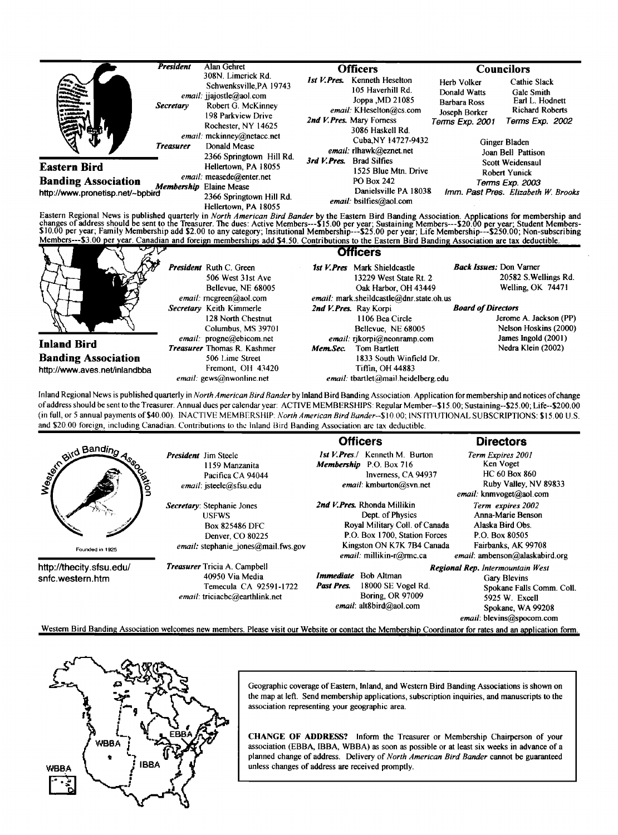|                                                                | <b>President</b>              | Alan Gehret<br>308N. Limerick Rd.                                                                                                                                                                       | <b>Officers</b>                                                                                                                                                                                        | <b>Councilors</b>                                                                      |                                                                                                                                   |
|----------------------------------------------------------------|-------------------------------|---------------------------------------------------------------------------------------------------------------------------------------------------------------------------------------------------------|--------------------------------------------------------------------------------------------------------------------------------------------------------------------------------------------------------|----------------------------------------------------------------------------------------|-----------------------------------------------------------------------------------------------------------------------------------|
|                                                                | Secretary<br><b>Treasurer</b> | Schwenksville, PA 19743<br><i>email:</i> jiajostle@aol.com<br>Robert G. McKinney<br>198 Parkview Drive<br>Rochester, NY 14625<br>email: mckinney@netacc.net<br>Donald Mease<br>2366 Springtown Hill Rd. | Kenneth Heselton<br>1st V.Pres.<br>105 Haverhill Rd.<br>Joppa , MD 21085<br>email: KHeselton@cs.com<br>2nd V. Pres. Mary Forness<br>3086 Haskell Rd.<br>Cuba, NY 14727-9432<br>email: rlhawk@eznet.net | Herb Volker<br>Donald Watts<br><b>Barbara Ross</b><br>Joseph Borker<br>Terms Exp. 2001 | Cathie Slack<br>Gale Smith<br>Earl L. Hodnett<br><b>Richard Roberts</b><br>Terms Exp. 2002<br>Ginger Bladen<br>Joan Bell Pattison |
| <b>Eastern Bird</b>                                            |                               | Hellertown, PA 18055                                                                                                                                                                                    | $3rd$ V. Pres.<br><b>Brad Silfies</b><br>1525 Blue Mtn. Drive                                                                                                                                          | Scott Weidensaul<br>Robert Yunick                                                      |                                                                                                                                   |
| <b>Banding Association</b><br>http://www.pronetisp.net/~bpbird |                               | email: measede@enter.net<br>Membership Elaine Mease<br>2366 Springtown Hill Rd.<br>Hellertown, PA 18055                                                                                                 | <b>PO Box 242</b><br>Danielsville PA 18038<br>email: bsilfies@aol.com                                                                                                                                  |                                                                                        | Terms Exp. 2003<br>Imm. Past Pres. Elizabeth W. Brooks                                                                            |
|                                                                |                               |                                                                                                                                                                                                         | Eastern Regional News is published quarterly in North American Bird Bander by the Eastern Bird Banding Association. Applications for membership and                                                    |                                                                                        |                                                                                                                                   |

Eastern Regional News is published quarterly in *North American Bird Bander* by the Eastern Bird Banding Association. Applications for membership and<br>changes of address should be sent to the Treasurer. The dues: Active Mem

| ∼                             | <b>Officers</b>                    |                                          |                                |  |  |
|-------------------------------|------------------------------------|------------------------------------------|--------------------------------|--|--|
|                               | <b>President</b> Ruth C. Green     | 1st V. Pres Mark Shieldcastle            | <b>Back Issues:</b> Don Varner |  |  |
|                               | 506 West 31st Ave                  | 13229 West State Rt. 2                   | 20582 S. Wellings Rd.          |  |  |
|                               | Bellevue, NE 68005                 | Oak Harbor, OH 43449                     | Welling, OK 74471              |  |  |
|                               | email: mcgreen@aol.com             | email: mark.sheildcastle@dnr.state.oh.us |                                |  |  |
|                               | Secretary Keith Kimmerle           | 2nd V.Pres. Ray Korpi                    | <b>Board of Directors</b>      |  |  |
|                               | 128 North Chestnut                 | 1106 Bea Circle                          | Jerome A. Jackson (PP)         |  |  |
|                               | Columbus, MS 39701                 | Bellevue, NE 68005                       | Nelson Hoskins (2000)          |  |  |
| <b>Inland Bird</b>            | email: progne@ebicom.net           | email: rikorpi@neonramp.com              | James Ingold (2001)            |  |  |
|                               | <b>Treasurer</b> Thomas R. Kashmer | Mem.Sec.<br>Tom Bartlett                 | Nedra Klein (2002)             |  |  |
| <b>Banding Association</b>    | 506 Lime Street                    | 1833 South Winfield Dr.                  |                                |  |  |
| http://www.aves.net/inlandbba | Fremont, OH 43420                  | Tiffin. OH 44883                         |                                |  |  |
|                               | email: gews@nwonline.net           | email: tbartlet@mail.heidelberg.edu      |                                |  |  |

**Inland Regional News is published quarlerly in North American Bird Bander by lnland Bird Banding Association. Application for membership and notices of change of address should be sento the Treasurer. Annual dues per calendar year: ACTIVE MEMBERSHIPS: Regular Member--S15.00; Sustaining--S25.00; Life--S200.00**  (in full, or 5 annual payments of \$40.00). INACTIVE MEMBERSHIP: North American Bird Bander--\$10.00; INSTITUTIONAL SUBSCRIPTIONS: \$15.00 U.S. **and \$20.00 foreign, including Canadian. Contributions to the lnland Bird Banding Association arc tax deductible.** 

|                                                |                                                                                                                                                          | <b>Officers</b>                                                                                                                                                              | <b>Directors</b>                                                                                                                                  |  |
|------------------------------------------------|----------------------------------------------------------------------------------------------------------------------------------------------------------|------------------------------------------------------------------------------------------------------------------------------------------------------------------------------|---------------------------------------------------------------------------------------------------------------------------------------------------|--|
| and Banding<br><b>ation</b><br>Founded in 1925 | <b>President</b> Jim Steele<br>1159 Manzanita<br>Pacifica CA 94044<br>email: isteele@sfsu.edu                                                            | <i>Ist V.Pres.</i> / Kenneth M. Burton<br><b>Membership</b> P.O. Box 716<br>Inverness, CA 94937<br>email: kmburton@svn.net                                                   | Term Expires 2001<br>Ken Voget<br><b>HC 60 Box 860</b><br>Ruby Valley, NV 89833<br>email: knmvoget@aol.com                                        |  |
|                                                | Secretary: Stephanie Jones<br><b>USFWS</b><br><b>Box 825486 DFC</b><br>Denver, CO 80225<br><i>email:</i> stephanie jones@mail.fws.gov                    | 2nd V. Pres. Rhonda Millikin<br>Dept. of Physics<br>Royal Military Coll. of Canada<br>P.O. Box 1700, Station Forces<br>Kingston ON K7K 7B4 Canada<br>email: millikin-r@mc.ca | Term expires 2002<br>Anna-Marie Benson<br>Alaska Bird Obs.<br>P.O. Box 80505<br>Fairbanks, AK 99708<br>$email$ : ambenson@alaskabird.org          |  |
| http://thecity.sfsu.edu/<br>snfc.western.htm   | <b>Treasurer</b> Tricia A. Campbell<br>40950 Via Media<br>Temecula CA 92591-1722<br>email: triciacbc@earthlink.net                                       | <i>Immediate</i> Bob Altman<br>18000 SE Vogel Rd.<br>Past Pres.<br><b>Boring, OR 97009</b><br>email: alt8bird@aol.com                                                        | Regional Rep. Intermountain West<br>Gary Blevins<br>Spokane Falls Comm. Coll.<br>5925 W. Excell<br>Spokane, WA 99208<br>email: blevins@spocom.com |  |
|                                                | Western Bird Banding Association welcomes new members. Please visit our Website or contact the Membership Coordinator for rates and an application form. |                                                                                                                                                                              |                                                                                                                                                   |  |



Geographic coverage of Eastern, Inland, and Western Bird Banding Associations is shown on **the map at left. Send membership applications, subscription inquiries, and manuscripts to the association representing your geographic area.** 

**CHANGE OF ADDRESS? Inform the Treasurer or Membership Chairperson of your association (EBBA, IBBA, WBBA) as soon as possible or at least six weeks in advance of a planned change of address. Delivery of North American Bird Bander cannot be guaranteed unless changes of address are received promptly.**